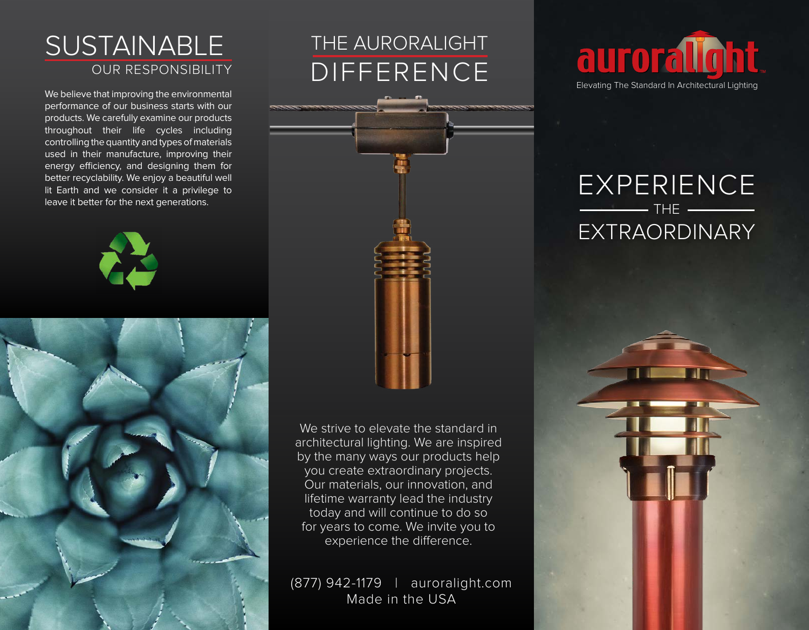#### OUR RESPONSIBILITY **SUSTAINABLE**

We believe that improving the environmental performance of our business starts with our products. We carefully examine our products throughout their life cycles including controlling the quantity and types of materials used in their manufacture, improving their energy efficiency, and designing them for better recyclability. We enjoy a beautiful well lit Earth and we consider it a privilege to leave it better for the next generations.





# THE AURORALIGHT DIFFERENCE



We strive to elevate the standard in architectural lighting. We are inspired by the many ways our products help you create extraordinary projects. Our materials, our innovation, and lifetime warranty lead the industry today and will continue to do so for years to come. We invite you to experience the difference.

(877) 942-1179 | auroralight.com Made in the USA



## EXPERIENCE  $-$  THE EXTRAORDINARY

AI.